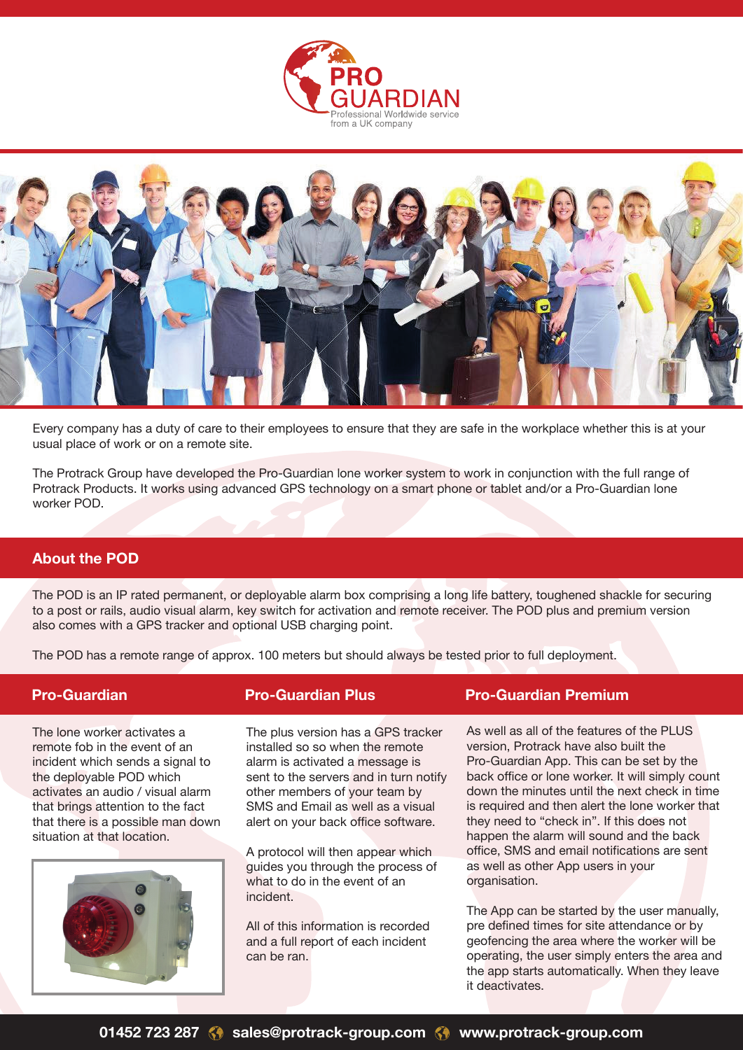



Every company has a duty of care to their employees to ensure that they are safe in the workplace whether this is at your usual place of work or on a remote site.

The Protrack Group have developed the Pro-Guardian lone worker system to work in conjunction with the full range of Protrack Products. It works using advanced GPS technology on a smart phone or tablet and/or a Pro-Guardian lone worker POD.

## **About the POD**

The POD is an IP rated permanent, or deployable alarm box comprising a long life battery, toughened shackle for securing to a post or rails, audio visual alarm, key switch for activation and remote receiver. The POD plus and premium version also comes with a GPS tracker and optional USB charging point.

The POD has a remote range of approx. 100 meters but should always be tested prior to full deployment.

The lone worker activates a remote fob in the event of an incident which sends a signal to the deployable POD which activates an audio / visual alarm that brings attention to the fact that there is a possible man down situation at that location.



The plus version has a GPS tracker installed so so when the remote alarm is activated a message is sent to the servers and in turn notify other members of your team by SMS and Email as well as a visual alert on your back office software.

A protocol will then appear which guides you through the process of what to do in the event of an incident.

All of this information is recorded and a full report of each incident can be ran.

## **Pro-Guardian Pro-Guardian Plus Pro-Guardian Premium**

As well as all of the features of the PLUS version, Protrack have also built the Pro-Guardian App. This can be set by the back office or lone worker. It will simply count down the minutes until the next check in time is required and then alert the lone worker that they need to "check in". If this does not happen the alarm will sound and the back office, SMS and email notifications are sent as well as other App users in your organisation.

The App can be started by the user manually, pre defined times for site attendance or by geofencing the area where the worker will be operating, the user simply enters the area and the app starts automatically. When they leave it deactivates.